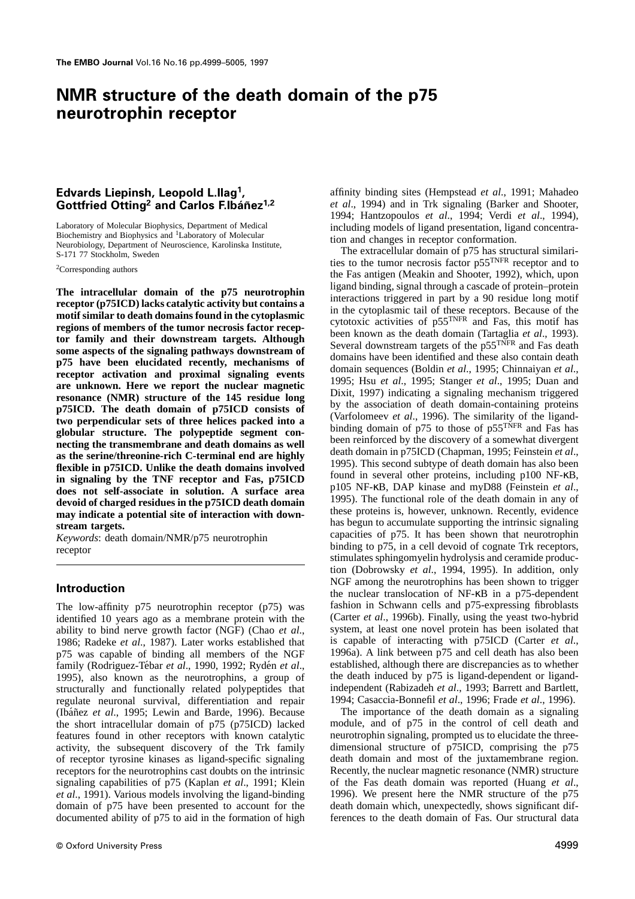## **NMR structure of the death domain of the p75 neurotrophin receptor**

# **Gottfried Otting<sup>2</sup> and Carlos F.Ibáñez<sup>1,2</sup>**

Laboratory of Molecular Biophysics, Department of Medical<br>Biochemistry and Biophysics and <sup>1</sup>Laboratory of Molecular<br>Neurobiology, Department of Neuroscience, Karolinska Institute,<br>S-171 77 Stockholm, Sweden<br>The extracellu

does not self-associate in solution. A surface area plus NF-KB, DAP Kinase and myD88 (Feinstein *et al.*, devoid of charged residues in the p75ICD death domain in any of the death domain in any of the death domain in any o **may indicate a potential site of interaction with down-** these proteins is, however, unknown. Recently, evidence has begun to accumulate supporting the intrinsic signaling stream targets

identified 10 years ago as a membrane protein with the (Carter *et al.*, 1996b). Finally, using the yeast two-hybrid ability to bind nerve growth factor (NGF) (Chao *et al.*, system, at least one novel protein has been iso ability to bind nerve growth factor (NGF) (Chao et al., 1986; Radeke *et al.*, 1987). Later works established that is capable of interacting with p75ICD (Carter *et al.*,  $n75$  was capable of binding all members of the NGF 1996a). A link between p75 and cell death has also bee p75 was capable of binding all members of the NGF 1996a). A link between p75 and cell death has also been family (Rodriguez-Tébar *et al.*, 1990, 1992; Rydén *et al.*, established, although there are discrepancies as to wh family (Rodriguez-Tébar *et al.*, 1990, 1992; Rydén *et al.*, established, although there are discrepancies as to whether 1995), also known as the neurotrophins, a group of the death induced by p75 is ligand-dependent or l 1995), also known as the neurotrophins, a group of the death induced by  $p75$  is ligand-dependent or ligand-<br>structurally and functionally related polypeptides that independent (Rabizadeh *et al.*, 1993; Barrett and Bartl structurally and functionally related polypeptides that regulate neuronal survival, differentiation and repair 1994; Casaccia-Bonnefil *et al.*, 1996; Frade *et al.*, 1996).<br>(Ibáñez *et al.*, 1995; Lewin and Barde, 1996). Because The importance of the death domain as a signalin (Ibáñez et al., 1995; Lewin and Barde, 1996). Because the short intracellular domain of p75 (p75ICD) lacked module, and of p75 in the control of cell death and features found in other receptors with known catalytic neurotrophin signaling, prompted us to elucidate the three-<br>activity, the subsequent discovery of the Trk family dimensional structure of p75ICD, comprising the p75 activity, the subsequent discovery of the Trk family dimensional structure of p75ICD, comprising the p75 of receptor tyrosine kinases as ligand-specific signaling death domain and most of the juxtamembrane region. of receptor tyrosine kinases as ligand-specific signaling receptors for the neurotrophins cast doubts on the intrinsic Recently, the nuclear magnetic resonance (NMR) structure signaling capabilities of p<sup>75</sup> (Kaplan *et al.*, 1991; Klein of the Fas death domain was reported (Huang *et al.*, *et al.*, 1991). Various models involving the ligand-binding 1996). We present here the NMR structure of t *et al.*, 1991). Various models involving the ligand-binding domain of p75 have been presented to account for the death domain which, unexpectedly, shows significant dif-<br>documented ability of p75 to aid in the formation of high ferences to the death domain of Fas. Our structural da documented ability of p75 to aid in the formation of high

**Edvards Liepinsh, Leopold L.Ilag<sup>1</sup>,** affinity binding sites (Hempstead *et al.*, 1991; Mahadeo **1, 1991;** Mahadeo *et al.*, 1994) and in Trk signaling (Barker and Shooter, 1994; Hantzopoulos *et al*., 1994; Verdi *et al*., 1994),

<sup>2</sup>Corresponding authors <sup>2</sup>Corresponding authors the Fas antigen (Meakin and Shooter, 1992), which, upon The intracellular domain of the p75 neurotrophin<br>
meceptor (p75ICD) lacks catalytic activity but contains and interctions in the cytoplasmic tail of these receptors. Because of the<br>
motif similar to death domains found in has begun to accumulate supporting the intrinsic signaling<br>
stream targets.<br>
Keywords: death domain/NMR/p75 neurotrophin<br>
receptor<br>
receptor<br>
stimulates sphingomyelin hydrolysis and ceramide production (Dobrowsky *et al*., 1994, 1995). In addition, only **Introduction** NGF among the neurotrophins has been shown to trigger the nuclear translocation of NF-κB in a p75-dependent The low-affinity p75 neurotrophin receptor (p75) was fashion in Schwann cells and p75-expressing fibroblasts identified 10 years as a membrane protein with the (Carter *et al.*, 1996b). Finally, using the yeast two-hybrid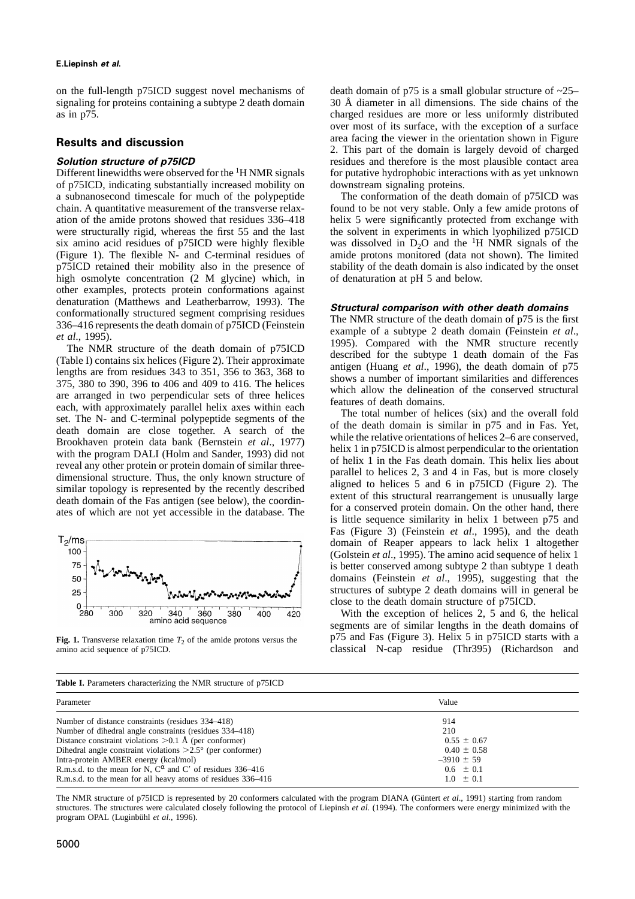### **E.Liepinsh** *et al***.**

on the full-length p75ICD suggest novel mechanisms of death domain of p75 is a small globular structure of  $\sim$ 25–signaling for proteins containing a subtype 2 death domain 30 Å diameter in all dimensions. The side chains signaling for proteins containing a subtype 2 death domain as in p75. charged residues are more or less uniformly distributed

Different linewidths were observed for the <sup>1</sup>H NMR signals for putative hydrophobic interactions with as yet unknown of p75ICD, indicating substantially increased mobility on downstream signaling proteins. a subnanosecond timescale for much of the polypeptide The conformation of the death domain of p75ICD was chain. A quantitative measurement of the transverse relax-<br>found to be not very stable. Only a few amide protons of ation of the amide protons showed that residues 336–418 helix 5 were significantly protected from exchange with were structurally rigid, whereas the first 55 and the last the solvent in experiments in which lyophilized p75ICD six amino acid residues of p75ICD were highly flexible was dissolved in  $D_2O$  and the <sup>1</sup>H NMR signals of six amino acid residues of p75ICD were highly flexible was dissolved in  $D_2O$  and the <sup>1</sup>H NMR signals of the (Figure 1). The flexible N- and C-terminal residues of amide protons monitored (data not shown). The limited (Figure 1). The flexible N- and C-terminal residues of p75ICD retained their mobility also in the presence of stability of the death domain is also indicated by the onset high osmolyte concentration (2 M glycine) which, in of denaturation at pH 5 and below. high osmolyte concentration  $(2 \text{ M}$  glycine) which, in other examples, protects protein conformations against

denaturation (Mathews and Leatherbarrow, 1993). The<br>
conformationally structural comparison with other death domains<br>
conformationally structure of embather death domain of p75ICD (Feinstein Temperation and The NMR struct



over most of its surface, with the exception of a surface area facing the viewer in the orientation shown in Figure **Results and discussion**<br> **Area facing the viewer in the orientation shown in Figure 3. This part of the domain is largely devoid of charged<br>
<b>Solution structure of p75ICD** existence is the most plausible contact area residues and therefore is the most plausible contact area

found to be not very stable. Only a few amide protons of

Fas (Figure 3) (Feinstein *et al*., 1995), and the death domain of Reaper appears to lack helix 1 altogether (Golstein *et al*., 1995). The amino acid sequence of helix 1 is better conserved among subtype 2 than subtype 1 death domains (Feinstein *et al*., 1995), suggesting that the structures of subtype 2 death domains will in general be close to the death domain structure of p75ICD.

With the exception of helices 2, 5 and 6, the helical segments are of similar lengths in the death domains of **Fig. 1.** Transverse relaxation time  $T_2$  of the amide protons versus the <br> **P** p<sup>75</sup> and Fas (Figure 3). Helix 5 in p<sup>75ICD</sup> starts with a classical N-cap residue (Thr395) (Richardson and classical N-cap residue (Thr395) classical N-cap residue (Thr395) (Richardson and

|  | Table I. Parameters characterizing the NMR structure of p75ICD |  |  |
|--|----------------------------------------------------------------|--|--|
|  |                                                                |  |  |

| Parameter                                                           | Value           |
|---------------------------------------------------------------------|-----------------|
| Number of distance constraints (residues 334–418)                   | 914             |
| Number of dihedral angle constraints (residues 334–418)             | 210             |
| Distance constraint violations $>0.1$ Å (per conformer)             | $0.55 \pm 0.67$ |
| Dihedral angle constraint violations $>2.5^{\circ}$ (per conformer) | $0.40 \pm 0.58$ |
| Intra-protein AMBER energy (kcal/mol)                               | $-3910 \pm 59$  |
| R.m.s.d. to the mean for N, $C^{\alpha}$ and C' of residues 336–416 | $0.6 \pm 0.1$   |
| R.m.s.d. to the mean for all heavy atoms of residues 336–416        | $1.0 \pm 0.1$   |

The NMR structure of p75ICD is represented by 20 conformers calculated with the program DIANA (Güntert *et al.*, 1991) starting from random structures. The structures were calculated closely following the protocol of Liepinsh *et al.* (1994). The conformers were energy minimized with the program OPAL (Luginbühl et al., 1996).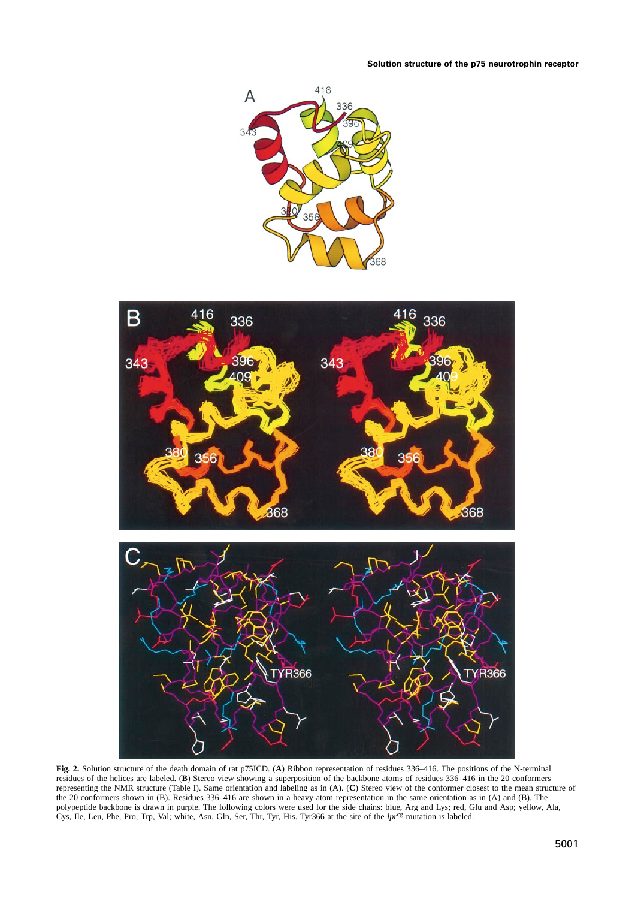



**Fig. 2.** Solution structure of the death domain of rat p75ICD. (**A**) Ribbon representation of residues 336–416. The positions of the N-terminal residues of the helices are labeled. (**B**) Stereo view showing a superposition of the backbone atoms of residues 336–416 in the 20 conformers representing the NMR structure (Table I). Same orientation and labeling as in (A). (**C**) Stereo view of the conformer closest to the mean structure of the 20 conformers shown in (B). Residues 336–416 are shown in a heavy atom representation in the same orientation as in (A) and (B). The polypeptide backbone is drawn in purple. The following colors were used for the side chains: blue, Arg and Lys; red, Glu and Asp; yellow, Ala, Cys, Ile, Leu, Phe, Pro, Trp, Val; white, Asn, Gln, Ser, Thr, Tyr, His. Tyr366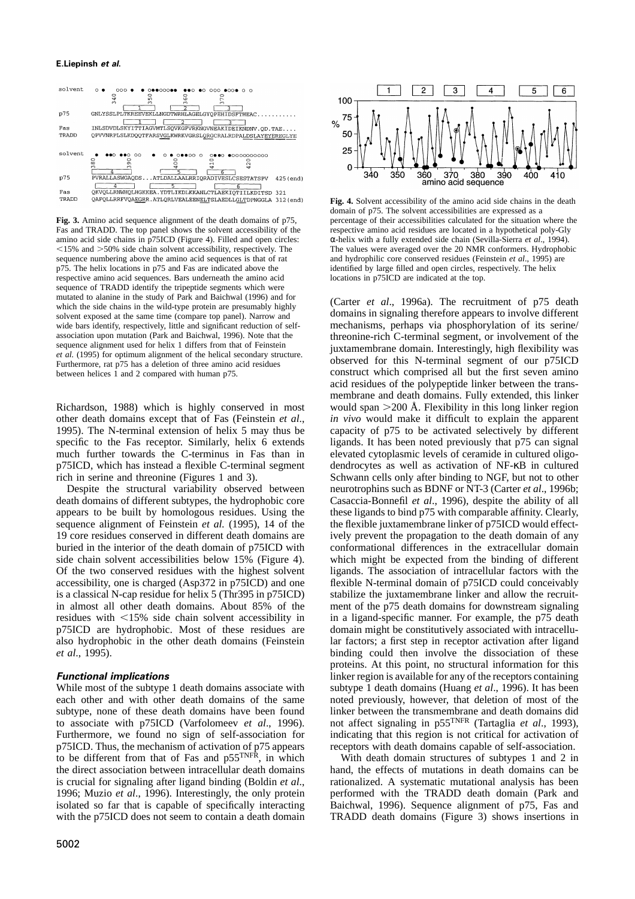### **E.Liepinsh** *et al***.**



Fas and TRADD. The top panel shows the solvent accessibility of the respective amino acid residues are located in a hypothetical poly-Gly amino acid side chains in p75ICD (Figure 4). Filled and open circles: α-helix with a fully extended side chain (Sevilla-Sierra *et al*., 1994). sequence numbering above the amino acid sequences is that of rat and hydrophilic core conserved residues (Feinstein *et al.*, 1995) are p75. The helix locations in p75 and Fas are indicated above the identified by large fi respective amino acid sequences. Bars underneath the amino acid locations in p75ICD are indicated at the top. sequence of TRADD identify the tripeptide segments which were mutated to alanine in the study of Park and Baichwal (1996) and for mutated to ataline in the study of Park and Batchwar (1990) and for<br>which the side chains in the wild-type protein are presumably highly<br>solvent exposed at the same time (compare top panel). Narrow and<br>domains in signalin

p75ICD. Thus, the mechanism of activation of p75 appears receptors with death domains capable of self-association. to be different from that of Fas and p55<sup>TNFR</sup>, in which With death domain structures of subtypes 1 and 2 in



**Fig. 4.** Solvent accessibility of the amino acid side chains in the death domain of p75. The solvent accessibilities are expressed as a **Fig. 3.** Amino acid sequence alignment of the death domains of p75, percentage of their accessibilities calculated for the situation where the  $\le$ 15% and  $\ge$ 50% side chain solvent accessibility, respectively. The The values were averaged over the 20 NMR conformers. Hydrophobic sequence numbering above the amino acid sequences is that of rat and hydrophilic cor identified by large filled and open circles, respectively. The helix

wide bars identify, respectively, little and significant reduction of self- mechanisms, perhaps via phosphorylation of its serine/ association upon mutation (Park and Baichwal, 1996). Note that the sequence alignment used for helix 1 differs from that of Feinstein erich C-terminal segment, or involvement of the sequence alignment used for helix 1 diff Furthermore, rat p75 has a deletion of three amino acid residues between helices 1 and 2 compared with human p75.<br>
between helices 1 and 2 compared with human p75.<br> **CONSERVED** construct which comprised all but the first s construct which comprised all but the first seven amino acid residues of the polypeptide linker between the transmembrane and death domains. Fully extended, this linker Richardson, 1988) which is highly conserved in most would span  $>$  200 Å. Flexibility in this long linker region other death domains except that of Fas (Feinstein *et al*., *in vivo* would make it difficult to explain the apparent 1995). The N-terminal extension of helix 5 may thus be capacity of p75 to be activated selectively by different specific to the Fas receptor. Similarly, helix 6 extends ligands. It has been noted previously that p75 can signal much further towards the C-terminus in Fas than in elevated cytoplasmic levels of ceramide in cultured oligop75ICD, which has instead a flexible C-terminal segment dendrocytes as well as activation of NF-κB in cultured rich in serine and threonine (Figures 1 and 3).<br>Schwann cells only after binding to NGF, but not to other Schwann cells only after binding to NGF, but not to other Despite the structural variability observed between neurotrophins such as BDNF or NT-3 (Carter *et al*., 1996b; death domains of different subtypes, the hydrophobic core Casaccia-Bonnefil *et al*., 1996), despite the ability of all appears to be built by homologous residues. Using the these ligands to bind p75 with comparable affinity. Clearly, sequence alignment of Feinstein *et al.* (1995), 14 of the the flexible juxtamembrane linker of p75ICD would effect-19 core residues conserved in different death domains are ively prevent the propagation to the death domain of any buried in the interior of the death domain of p75ICD with conformational differences in the extracellular domain side chain solvent accessibilities below 15% (Figure 4). which might be expected from the binding of different Of the two conserved residues with the highest solvent ligands. The association of intracellular factors with the accessibility, one is charged (Asp372 in p75ICD) and one flexible N-terminal domain of p75ICD could conceivably is a classical N-cap residue for helix 5 (Thr395 in p75ICD) stabilize the juxtamembrane linker and allow the recruitin almost all other death domains. About 85% of the ment of the p75 death domains for downstream signaling residues with <15% side chain solvent accessibility in in a ligand-specific manner. For example, the p75 death p75ICD are hydrophobic. Most of these residues are domain might be constitutively associated with intracellualso hydrophobic in the other death domains (Feinstein lar factors; a first step in receptor activation after ligand *et al*., 1995). binding could then involve the dissociation of these proteins. At this point, no structural information for this *Functional implications implications implications implications implications implications implications implications implications implications implications implications impli* While most of the subtype 1 death domains associate with subtype 1 death domains (Huang *et al.*, 1996). It has been each other and with other death domains of the same noted previously, however, that deletion of most of the subtype, none of these death domains have been found linker between the transmembrane and death domains did to associate with p75ICD (Varfolomeev *et al.*, 1996). not affect signaling in p55<sup>TNFR</sup> (Tartaglia *et al.*, 1993), Furthermore, we found no sign of self-association for indicating that this region is not critical for activation of

the direct association between intracellular death domains hand, the effects of mutations in death domains can be is crucial for signaling after ligand binding (Boldin *et al.* rationalized. A systematic mutational analysi rationalized. A systematic mutational analysis has been 1996; Muzio *et al*., 1996). Interestingly, the only protein performed with the TRADD death domain (Park and isolated so far that is capable of specifically interacting Baichwal, 1996). Sequence alignment of p75, Fas and with the p75ICD does not seem to contain a death domain TRADD death domains (Figure 3) shows insertions in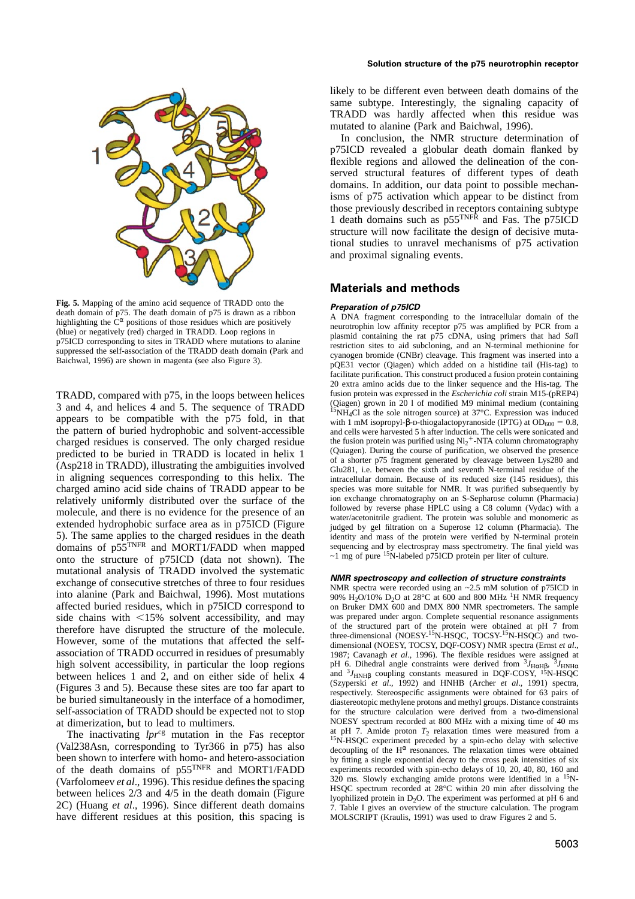

**Fig. 5.** Mapping of the amino acid sequence of TRADD onto the<br>
death domain of p75. The death domain of p75 is drawn as a ribbon<br>
highlighting the C<sup> $\alpha$ </sup> positions of those residues which are positively<br>
(blue) or negat

the pattern of buried hydrophobic and solvent-accessible charged residues is conserved. The only charged residue domains of  $p55^{TNFR}$  and MORT1/FADD when mapped sequencing and by electrospray mass spectrometry. The final y<br>can be structure of  $p75ICD$  (data not shown). The class of pure <sup>15</sup>N-labeled p75ICD protein per liter of cult onto the structure of p75ICD (data not shown). The mutational analysis of TRADD involved the systematic<br>exchange of consecutive stretches of three to four residues<br>into alanine (Park and Baichwal, 1996). Most mutations<br>affected buried residues, which in p75ICD correspond t pH 6. Dihedral angle constraints were derived from <sup>3</sup>*J<sub>HαHβ</sub>*, <sup>3</sup>*J<sub>HNHα</sub>*, <sup>3</sup>*J<sub>HNHα</sub>*, <sup>3</sup>*J<sub>HNHα</sub>*, <sup>3</sup>*J<sub>HNHα</sub>*, <sup>3</sup>*J<sub>HNHα</sub>*, <sup>3</sup>*J<sub>HNHα</sub>* between helices 1 and 2, and on either side of helix 4 and <sup>3</sup>*J<sub>HNHβ</sub>* c self-association of TRADD should be expected not to stop

between helices 2/3 and 4/5 in the death domain (Figure<br>2C) (Huang *et al.*, 1996). Since different death domains<br>have different residues at this position, this spacing is<br>3. Table I gives an overview of the structure cal have different residues at this position, this spacing is

likely to be different even between death domains of the same subtype. Interestingly, the signaling capacity of TRADD was hardly affected when this residue was mutated to alanine (Park and Baichwal, 1996).

In conclusion, the NMR structure determination of p75ICD revealed a globular death domain flanked by flexible regions and allowed the delineation of the conserved structural features of different types of death domains. In addition, our data point to possible mechanisms of p75 activation which appear to be distinct from those previously described in receptors containing subtype 1 death domains such as p55<sup>TNFR</sup> and Fas. The p75ICD structure will now facilitate the design of decisive mutational studies to unravel mechanisms of p75 activation and proximal signaling events.

### **Materials and methods**

facilitate purification. This construct produced a fusion protein containing 20 extra amino acids due to the linker sequence and the His-tag. The TRADD, compared with p75, in the loops between helices fusion protein was expressed in the *Escherichia coli* strain M15-(pREP4)<br>3 and 4, and helices 4 and 5. The sequence of TRADD [5MLC] strategy around in 20.1 of modifie 3 and 4, and helices 4 and 5. The sequence of TRADD<br>appears to be compatible with the p75 fold, in that<br>the pattern of buried hydrophobic and solvent-accessible<br>the pattern of buried hydrophobic and solvent-accessible<br>and the fusion protein was purified using  $Ni<sub>2</sub><sup>+</sup>-NTA$  column chromatography (Quiagen). During the course of purification, we observed the presence predicted to be buried in TRADD is located in helix 1 (Quiagen). During the course of purification, we observed the presence<br>
(Asp218 in TRADD), illustrating the ambiguities involved<br>
in aligning sequences corresponding to species was more suitable for NMR. It was purified subsequently by ion exchange chromatography on an S-Sepharose column (Pharmacia) relatively uniformly distributed over the surface of the ion exchange chromatography on an S-Sepharose column (Pharmacia)<br>molecule, and there is no evidence for the presence of an extended hydrophobic surface area as in p7 5). The same applies to the charged residues in the death identity and mass of the protein were verified by N-terminal protein domains of p55<sup>TNFR</sup> and MORT1/FADD when mapped sequencing and by electrospray mass spectrometr

affected buried residues, which in p75ICD correspond to on Bruker DMX 600 and DMX 800 NMR spectrometers. The sample<br>side chains with <15% solvent accessibility, and may was prepared under argon. Complete sequential resonan side chains with <15% solvent accessibility, and may<br>therefore have disrupted the structure of the molecule.<br>However, some of the mutations that affected the self-<br>However, some of the mutations that affected the self-<br>di association of TRADD occurred in residues of presumably 1987; Cavanagh *et al.*, 1996). The flexible residues were assigned at high solvent accessibility, in particular the loop regions pH 6. Dihedral angle constraints we between helices 1 and 2, and on either side of helix 4 and  $\frac{3I_{HNHB}}{I_{HNHB}}$  coupling constants measured in DQF-COSY, <sup>15</sup>N-HSQC (Figures 3 and 5). Because these sites are too far apart to be buried simultaneously in the at dimerization, but to lead to multimers. NOESY spectrum recorded at 800 MHz with a mixing time of 40 ms The inactivating  $lpr^{cg}$  mutation in the Fas receptor at pH 7. Amide proton  $T_2$  relaxation times were measured from a<br>
(Val238Asn, corresponding to Tyr366 in p75) has also decoupling of the H<sup> $\alpha$ </sup> resonances. The relax been shown to interfere with homo- and hetero-association by fitting a single exponential decay to the cross peak intensities of six<br>of the death domains of  $p55^{TNFR}$  and MORT1/FADD experiments recorded with spin-echo del of the death domains of p55<sup>TNFR</sup> and MORT1/FADD experiments recorded with spin-echo delays of 10, 20, 40, 80, 160 and (Varfolomeev *et al.*, 1996). This residue defines the spacing 320 ms. Slowly exchanging amide protons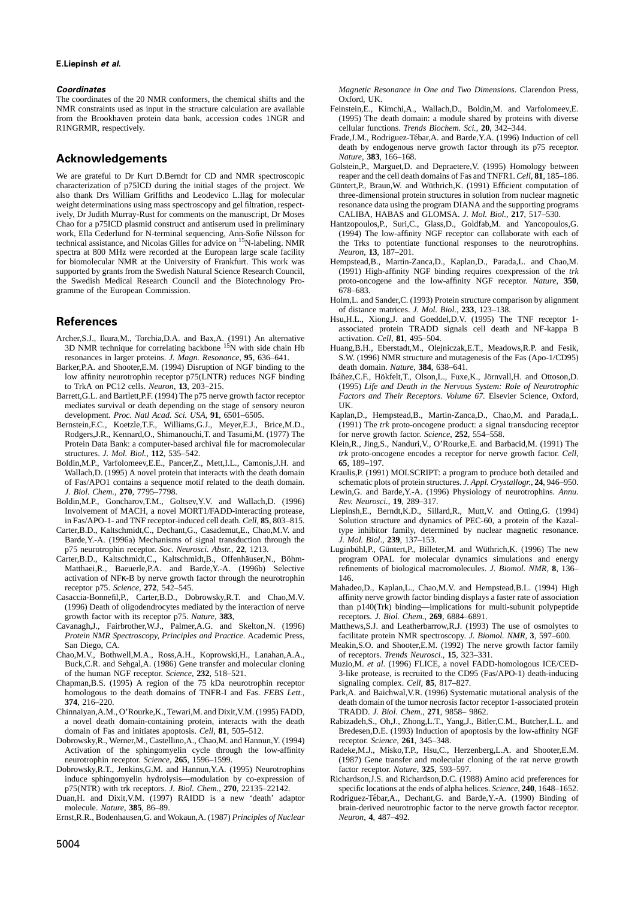### **E.Liepinsh** *et al***.**

The coordinates of the 20 NMR conformers, the chemical shifts and the Oxford, UK. NMR constraints used as input in the structure calculation are available Feinstein,E., Kimchi,A., Wallach,D., Boldin,M. and Varfolomeev,E. from the Brookhaven protein data bank, accession codes 1NGR and (1995) The death domain: a module shared by proteins with diverse R1NGRMR, respectively.<br>
R1NGRMR, respectively.

### **Acknowledgements** *Nature*, **<sup>383</sup>**, 166–168.

We are grateful to Dr Kurt D.Berndt for CD and NMR spectroscopic characterization of p75ICD during the initial stages of the project. We Güntert,P., Braun,W. and Wüthrich,K. (1991) Efficient computation of also thank Drs William Griffiths and Leodevico L.Ilag for molecular three-dimensional protein structures in solution from nuclear magnetic<br>weight determinations using mass spectroscopy and gel filtration, respect-<br>resonanc weight determinations using mass spectroscopy and gel filtration, respectively, Dr Judith Murray-Rust for comments on the manuscript, Dr Moses CALIBA, HABAS and GLOMSA. *J. Mol. Biol.*, **217**, 517–530. work, Ella Cederlund for N-terminal sequencing, Ann-Sofie Nilsson for technical assistance, and Nicolas Gilles for advice on <sup>15</sup>N-labeling. NMR the Trks to potentiate functional responses to the neurotrophins. spectra at 800 MHz were recorded at the European large scale facility *Neuron*, **13**, 187–201. for biomolecular NMR at the University of Frankfurt. This work was Hempstead,B., Martin-Zanca,D., Kaplan,D., Parada,L. and Chao,M.<br>supported by grants from the Swedish Natural Science Research Council, (1991) High-affinity the Swedish Medical Research Council and the Biotechnology Pro- proto-oncogene and the low-affinity NGF receptor. *Nature*, **350**, gramme of the European Commission. 678–683.

- Archer,S.J., Ikura,M., Torchia,D.A. and Bax,A. (1991) An alternative activation. *Cell*, **81**, 495–504. 3D NMR technique for correlating backbone <sup>15</sup>N with side chain Hb Huang,B.H., Eberstadt,M., Olejniczak,E.T., Meadows,R.P. and Fesik,
- Barker,P.A. and Shooter,E.M. (1994) Disruption of NGF binding to the death domain. *Nature*, **384**, 638–641.
- mediates survival or death depending on the stage of sensory neuron UK.<br>development. *Proc. Natl Acad. Sci. USA*, **91**, 6501–6505. Kaplar
- Rodgers,J.R., Kennard,O., Shimanouchi,T. and Tasumi,M. (1977) The for nerve growth factor. *Science*, **252**, 554–558.<br>Protein Data Bank: a computer-based archival file for macromolecular Klein,R., Jing,S., Nanduri,V., O'Ro Protein Data Bank: a computer-based archival file for macromolecular Klein,R., Jing,S., Nanduri,V., O'Rourke,E. and Barbacid,M. (1991) The structures. J. Mol. Biol., 112, 535–542. <br> *trk* proto-oncogene encodes a receptor
- Boldin,M.P., Varfolomeev,E.E., Pancer,Z., Mett,I.L., Camonis,J.H. and **65**, 189–197. of Fas/APO1 contains a sequence motif related to the death domain. schematic plots of protein structures. *J. Appl. Crystallogr.*, **24**, 946–950.
- Boldin,M.P., Goncharov,T.M., Goltsev,Y.V. and Wallach,D. (1996) *Rev. Neurosci.*, **19**, 289–317.
- Carter,B.D., Kaltschmidt,C., Dechant,G., Casademut,E., Chao,M.V. and Barde,Y.-A. (1996a) Mechanisms of signal transduction through the *J. Mol. Biol*., **239**, 137–153.
- Carter,B.D., Kaltschmidt,C., Kaltschmidt,B., Offenhäuser,N., Böhmactivation of NFκ-B by nerve growth factor through the neurotrophin 146.
- 
- growth factor with its receptor p75. *Nature*, **383**, receptors. *J. Biol. Chem.*, **269**, 6884–6891.<br>avanagh, J., Fairbrother, W.J., Palmer, A.G. and Skelton, N. (1996) Matthews, S.J. and Leatherbarrow, R.J. (1993) The use Cavanagh,J., Fairbrother,W.J., Palmer,A.G. and Skelton,N. (1996) Matthews,S.J. and Leatherbarrow,R.J. (1993) The use of osmolytes *Protein NMR Spectroscopy, Principles and Practice*. Academic Press, facilitate protein NMR *Protein NMR Spectroscopy, Principles and Practice. Academic Press,* San Diego, CA. Meakin,S.O. and Shooter,E.M. (1992) The nerve growth factor family
- Chao,M.V., Bothwell,M.A., Ross,A.H., Koprowski,H., Lanahan,A.A., of receptors. *Trends Neurosci.*, **15**, 323–331.
- Chapman,B.S. (1995) A region of the 75 kDa neurotrophin receptor signaling complex. *Cell*, **85**, 817–827. homologous to the death domains of TNFR-I and Fas. *FEBS Lett.*, Park,A. and Baichwal,V.R. (1996) Systematic mutational analysis of the **374**. 216–220.
- Chinnaiyan,A.M., O'Rourke,K., Tewari,M. and Dixit, V.M. (1995) FADD,
- Dobrowsky,R., Werner,M., Castellino,A., Chao,M. and Hannun,Y. (1994) Activation of the sphingomyelin cycle through the low-affinity Radeke,M.J., Misko,T.P., Hsu,C., Herzenberg,L.A. and Shooter,E.M.
- Dobrowsky,R.T., Jenkins,G.M. and Hannun,Y.A. (1995) Neurotrophins factor receptor. *Nature*, **325**, 593–597. induce sphingomyelin hydrolysis—modulation by co-expression of
- uan,H. and Dixit,V.M. (1997) RAIDD is a new 'death' adaptor Rodriguez-Tébar,A., Dechant,G. and Barde,Y.-A. (1990) Binding of molecule. Nature, 385, 86–89.
- Ernst,R.R., Bodenhausen,G. and Wokaun,A. (1987) *Principles of Nuclear Neuron*, **4**, 487–492.

*Coordinates Magnetic Resonance in One and Two Dimensions*. Clarendon Press,

- cellular functions. *Trends Biochem. Sci.*, **20**, 342–344.
- Frade, J.M., Rodriguez-Tébar, A. and Barde, Y.A. (1996) Induction of cell death by endogenous nerve growth factor through its p75 receptor.<br>Nature, 383, 166-168.
- Golstein,P., Marguet,D. and Depraetere, V. (1995) Homology between reaper and the cell death domains of Fas and TNFR1. Cell. 81. 185–186.
- 
- Hantzopoulos, P., Suri, C., Glass, D., Goldfab, M. and Yancopoulos, G. (1994) The low-affinity NGF receptor can collaborate with each of
- supported by grants from the Swedish Natural Science Research Council, (1991) High-affinity NGF binding requires coexpression of the *trk*
- Holm,L. and Sander,C. (1993) Protein structure comparison by alignment of distance matrices. *J. Mol. Biol.*, **233**, 123–138.
- **References** Hsu,H.L., Xiong,J. and Goeddel,D.V. (1995) The TNF receptor 1associated protein TRADD signals cell death and NF-kappa B
	- resonances in larger proteins. *J. Magn. Resonance*, **95**, 636–641. S.W. (1996) NMR structure and mutagenesis of the Fas (Apo-1/CD95)
- low affinity neurotrophin receptor p75(LNTR) reduces NGF binding Ibáñez, C.F., Hökfelt, T., Olson, L., Fuxe, K., Jörnvall, H. and Ottoson, D. to TrkA on PC12 cells. Neurotrophic (1995) Life and Death in the Nervous System: (1995) Life and Death in the Nervous System: Role of Neurotrophic Barrett,G.L. and Bartlett,P.F. (1994) The p75 nerve growth factor receptor *Factors and Their Receptors*. *Volume 67.* Elsevier Science, Oxford,
- Kaplan, D., Hempstead, B., Martin-Zanca, D., Chao, M. and Parada, L. Bernstein,F.C., Koetzle,T.F., Williams,G.J., Meyer,E.J., Brice,M.D., (1991) The *trk* proto-oncogene product: a signal transducing receptor
	- $trk$  proto-oncogene encodes a receptor for nerve growth factor. *Cell*,
	- Wallach,D. (1995) A novel protein that interacts with the death domain Kraulis,P. (1991) MOLSCRIPT: a program to produce both detailed and
		- Lewin,G. and Barde, Y.-A. (1996) Physiology of neurotrophins. *Annu*.
	- Involvement of MACH, a novel MORT1/FADD-interacting protease, Liepinsh,E., Berndt,K.D., Sillard,R., Mutt,V. and Otting,G. (1994) in Fas/APO-1- and TNF receptor-induced cell death. Cell, 85, 803-815. Solution structure and Solution structure and dynamics of PEC-60, a protein of the Kazal-<br>type inhibitor family, determined by nuclear magnetic resonance.
	- Luginbühl, P., Güntert, P., Billeter, M. and Wüthrich, K. (1996) The new program OPAL for molecular dynamics simulations and energy Matthaei,R., Baeuerle,P.A. and Barde,Y.-A. (1996b) Selective refinements of biological macromolecules. *J. Biomol. NMR*, **8**, 136–
- receptor p75. *Science*, **272**, 542–545. Mahadeo,D., Kaplan,L., Chao,M.V. and Hempstead,B.L. (1994) High Casaccia-Bonnefil,P., Carter,B.D., Dobrowsky,R.T. and Chao,M.V. affinity nerve growth factor binding displays a faster rate of association (1996) Death of oligodendrocytes mediated by the interaction of nerve than p140(Trk) binding—implications for multi-subunit polypeptide
	-
	-
	- Buck,C.R. and Sehgal,A. (1986) Gene transfer and molecular cloning Muzio,M. *et al*. (1996) FLICE, a novel FADD-homologous ICE/CED-3-like protease, is recruited to the CD95 (Fas/APO-1) death-inducing
		- death domain of the tumor necrosis factor receptor 1-associated protein TRADD. *J. Biol. Chem.*, **271**, 9858–9862.
	- a novel death domain-containing protein, interacts with the death Rabizadeh,S., Oh,J., Zhong,L.T., Yang,J., Bitler,C.M., Butcher,L.L. and domain of Fas and initiates apoptosis. Cell, 81, 505-512. Bredesen,D.E. (1993) Induc Bredesen, D.E. (1993) Induction of apoptosis by the low-affinity NGF receptor. *Science*, **261**, 345–348.
	- neurotrophin receptor. *Science*, **265**, 1596–1599. (1987) Gene transfer and molecular cloning of the rat nerve growth
- p75(NTR) with trk receptors. *J. Biol. Chem.*, **270**, 22135–22142. specific locations at the ends of alpha helices. *Science*, **240**, 1648–1652.
	- brain-derived neurotrophic factor to the nerve growth factor receptor.